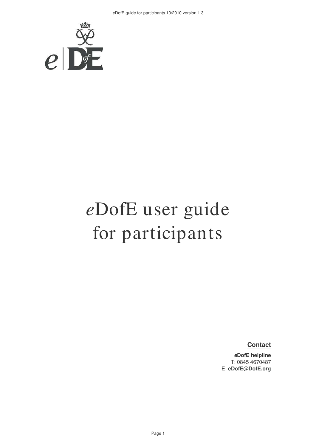

# *e*DofE user guide for participants

**Contact**

**eDofE helpline**  T: 0845 4670487 E: **eDofE@DofE.org**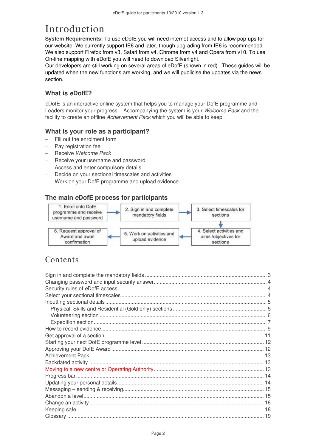# Introduction

**System Requirements:** To use eDofE you will need internet access and to allow pop-ups for our website. We currently support IE6 and later, though upgrading from IE6 is recommended. We also support Firefox from v3, Safari from v4, Chrome from v4 and Opera from v10. To use On-line mapping with eDofE you will need to download Silverlight.

Our developers are still working on several areas of eDofE (shown in red). These guides will be updated when the new functions are working, and we will publicise the updates via the news section.

### **What is eDofE?**

eDofE is an interactive online system that helps you to manage your DofE programme and Leaders monitor your progress. Accompanying the system is your Welcome Pack and the facility to create an offline Achievement Pack which you will be able to keep.

#### **What is your role as a participant?**

- Fill out the enrolment form
- Pay registration fee
- **Receive Welcome Pack**
- − Receive your username and password
- Access and enter compulsory details
- Decide on your sectional timescales and activities
- − Work on your DofE programme and upload evidence.

### **The main eDofE process for participants**



### **Contents**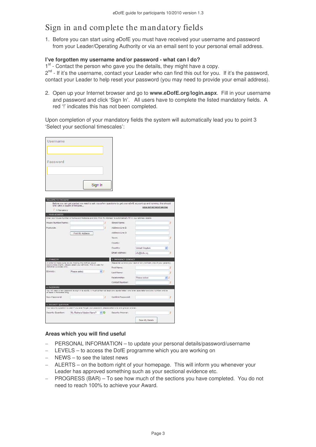# Sign in and complete the mandatory fields

1. Before you can start using eDofE you must have received your username and password from your Leader/Operating Authority or via an email sent to your personal email address.

#### **I've forgotten my username and/or password - what can I do?**

1<sup>st</sup> - Contact the person who gave you the details, they might have a copy.

2<sup>nd</sup> - If it's the username, contact your Leader who can find this out for you. If it's the password, contact your Leader to help reset your password (you may need to provide your email address).

2. Open up your Internet browser and go to **www.eDofE.org/login.aspx**. Fill in your username and password and click 'Sign In'. All users have to complete the listed mandatory fields. A red '!' indicates this has not been completed.

Upon completion of your mandatory fields the system will automatically lead you to point 3 'Select your sectional timescales':

| Username<br>Password<br>Sign In<br>WELCOME TO THE DOFE!<br>Before you can get started we need to ask you a few questions to get your eDofE account up and running. this should<br>only take a couple of minutes<br><b>SIGN OUT WITHOUT SAVING</b><br>$I = M$ andatory<br><b>L. YOUR ADDRESS</b><br>Enter your House liumber or liame and Postcode and click 'Find My Address' to automatically fill in your address details.<br>Street Name:<br>House Number/Name:<br>7<br>Ï<br>Postcode:<br>Address Line 2:<br>Address Line 3:<br>Find My Address<br>Town:<br>County:<br>Country:<br>United Kingdom<br>Email Address:<br>info@dofe.org<br>2. ETHNICITY<br>3. EMERGENCY CONTACT<br>Please let us know your next of kin (normally one of your parents).<br>In order to make sure we are making the Doff an equal<br>opporunities charity, please select your ethnicity. This is used for<br>statistical purposes only.<br>First Name:<br>Please select<br>Ethnioty:<br>v. J<br>Last Name:<br>Relationship:<br>Please select<br>Contact Number:<br>4. PASSWORD<br>You will need a new password to sign in to eDoft: it must contain at least one capital letter, one lower case letter and one number and be<br>at least 6 characters long.<br>New Password:<br>y<br>Confirm Password:<br><b>5. SECURITY QUESTION</b><br>Your security question is used if you ever forget your password, please select one and give an answer.<br>Security Question:<br>My Mother's Maiden Name?<br>$\sim$ 0<br>Security Answer: |  |  |   |
|-----------------------------------------------------------------------------------------------------------------------------------------------------------------------------------------------------------------------------------------------------------------------------------------------------------------------------------------------------------------------------------------------------------------------------------------------------------------------------------------------------------------------------------------------------------------------------------------------------------------------------------------------------------------------------------------------------------------------------------------------------------------------------------------------------------------------------------------------------------------------------------------------------------------------------------------------------------------------------------------------------------------------------------------------------------------------------------------------------------------------------------------------------------------------------------------------------------------------------------------------------------------------------------------------------------------------------------------------------------------------------------------------------------------------------------------------------------------------------------------------------------------|--|--|---|
|                                                                                                                                                                                                                                                                                                                                                                                                                                                                                                                                                                                                                                                                                                                                                                                                                                                                                                                                                                                                                                                                                                                                                                                                                                                                                                                                                                                                                                                                                                                 |  |  |   |
|                                                                                                                                                                                                                                                                                                                                                                                                                                                                                                                                                                                                                                                                                                                                                                                                                                                                                                                                                                                                                                                                                                                                                                                                                                                                                                                                                                                                                                                                                                                 |  |  |   |
|                                                                                                                                                                                                                                                                                                                                                                                                                                                                                                                                                                                                                                                                                                                                                                                                                                                                                                                                                                                                                                                                                                                                                                                                                                                                                                                                                                                                                                                                                                                 |  |  |   |
|                                                                                                                                                                                                                                                                                                                                                                                                                                                                                                                                                                                                                                                                                                                                                                                                                                                                                                                                                                                                                                                                                                                                                                                                                                                                                                                                                                                                                                                                                                                 |  |  |   |
|                                                                                                                                                                                                                                                                                                                                                                                                                                                                                                                                                                                                                                                                                                                                                                                                                                                                                                                                                                                                                                                                                                                                                                                                                                                                                                                                                                                                                                                                                                                 |  |  |   |
|                                                                                                                                                                                                                                                                                                                                                                                                                                                                                                                                                                                                                                                                                                                                                                                                                                                                                                                                                                                                                                                                                                                                                                                                                                                                                                                                                                                                                                                                                                                 |  |  |   |
|                                                                                                                                                                                                                                                                                                                                                                                                                                                                                                                                                                                                                                                                                                                                                                                                                                                                                                                                                                                                                                                                                                                                                                                                                                                                                                                                                                                                                                                                                                                 |  |  |   |
|                                                                                                                                                                                                                                                                                                                                                                                                                                                                                                                                                                                                                                                                                                                                                                                                                                                                                                                                                                                                                                                                                                                                                                                                                                                                                                                                                                                                                                                                                                                 |  |  |   |
|                                                                                                                                                                                                                                                                                                                                                                                                                                                                                                                                                                                                                                                                                                                                                                                                                                                                                                                                                                                                                                                                                                                                                                                                                                                                                                                                                                                                                                                                                                                 |  |  |   |
|                                                                                                                                                                                                                                                                                                                                                                                                                                                                                                                                                                                                                                                                                                                                                                                                                                                                                                                                                                                                                                                                                                                                                                                                                                                                                                                                                                                                                                                                                                                 |  |  |   |
|                                                                                                                                                                                                                                                                                                                                                                                                                                                                                                                                                                                                                                                                                                                                                                                                                                                                                                                                                                                                                                                                                                                                                                                                                                                                                                                                                                                                                                                                                                                 |  |  |   |
|                                                                                                                                                                                                                                                                                                                                                                                                                                                                                                                                                                                                                                                                                                                                                                                                                                                                                                                                                                                                                                                                                                                                                                                                                                                                                                                                                                                                                                                                                                                 |  |  |   |
|                                                                                                                                                                                                                                                                                                                                                                                                                                                                                                                                                                                                                                                                                                                                                                                                                                                                                                                                                                                                                                                                                                                                                                                                                                                                                                                                                                                                                                                                                                                 |  |  |   |
|                                                                                                                                                                                                                                                                                                                                                                                                                                                                                                                                                                                                                                                                                                                                                                                                                                                                                                                                                                                                                                                                                                                                                                                                                                                                                                                                                                                                                                                                                                                 |  |  |   |
|                                                                                                                                                                                                                                                                                                                                                                                                                                                                                                                                                                                                                                                                                                                                                                                                                                                                                                                                                                                                                                                                                                                                                                                                                                                                                                                                                                                                                                                                                                                 |  |  |   |
|                                                                                                                                                                                                                                                                                                                                                                                                                                                                                                                                                                                                                                                                                                                                                                                                                                                                                                                                                                                                                                                                                                                                                                                                                                                                                                                                                                                                                                                                                                                 |  |  |   |
|                                                                                                                                                                                                                                                                                                                                                                                                                                                                                                                                                                                                                                                                                                                                                                                                                                                                                                                                                                                                                                                                                                                                                                                                                                                                                                                                                                                                                                                                                                                 |  |  |   |
|                                                                                                                                                                                                                                                                                                                                                                                                                                                                                                                                                                                                                                                                                                                                                                                                                                                                                                                                                                                                                                                                                                                                                                                                                                                                                                                                                                                                                                                                                                                 |  |  |   |
|                                                                                                                                                                                                                                                                                                                                                                                                                                                                                                                                                                                                                                                                                                                                                                                                                                                                                                                                                                                                                                                                                                                                                                                                                                                                                                                                                                                                                                                                                                                 |  |  | j |
|                                                                                                                                                                                                                                                                                                                                                                                                                                                                                                                                                                                                                                                                                                                                                                                                                                                                                                                                                                                                                                                                                                                                                                                                                                                                                                                                                                                                                                                                                                                 |  |  |   |
|                                                                                                                                                                                                                                                                                                                                                                                                                                                                                                                                                                                                                                                                                                                                                                                                                                                                                                                                                                                                                                                                                                                                                                                                                                                                                                                                                                                                                                                                                                                 |  |  |   |
|                                                                                                                                                                                                                                                                                                                                                                                                                                                                                                                                                                                                                                                                                                                                                                                                                                                                                                                                                                                                                                                                                                                                                                                                                                                                                                                                                                                                                                                                                                                 |  |  |   |
|                                                                                                                                                                                                                                                                                                                                                                                                                                                                                                                                                                                                                                                                                                                                                                                                                                                                                                                                                                                                                                                                                                                                                                                                                                                                                                                                                                                                                                                                                                                 |  |  |   |
|                                                                                                                                                                                                                                                                                                                                                                                                                                                                                                                                                                                                                                                                                                                                                                                                                                                                                                                                                                                                                                                                                                                                                                                                                                                                                                                                                                                                                                                                                                                 |  |  |   |
|                                                                                                                                                                                                                                                                                                                                                                                                                                                                                                                                                                                                                                                                                                                                                                                                                                                                                                                                                                                                                                                                                                                                                                                                                                                                                                                                                                                                                                                                                                                 |  |  |   |
|                                                                                                                                                                                                                                                                                                                                                                                                                                                                                                                                                                                                                                                                                                                                                                                                                                                                                                                                                                                                                                                                                                                                                                                                                                                                                                                                                                                                                                                                                                                 |  |  |   |
|                                                                                                                                                                                                                                                                                                                                                                                                                                                                                                                                                                                                                                                                                                                                                                                                                                                                                                                                                                                                                                                                                                                                                                                                                                                                                                                                                                                                                                                                                                                 |  |  |   |
|                                                                                                                                                                                                                                                                                                                                                                                                                                                                                                                                                                                                                                                                                                                                                                                                                                                                                                                                                                                                                                                                                                                                                                                                                                                                                                                                                                                                                                                                                                                 |  |  |   |
|                                                                                                                                                                                                                                                                                                                                                                                                                                                                                                                                                                                                                                                                                                                                                                                                                                                                                                                                                                                                                                                                                                                                                                                                                                                                                                                                                                                                                                                                                                                 |  |  |   |
|                                                                                                                                                                                                                                                                                                                                                                                                                                                                                                                                                                                                                                                                                                                                                                                                                                                                                                                                                                                                                                                                                                                                                                                                                                                                                                                                                                                                                                                                                                                 |  |  |   |
|                                                                                                                                                                                                                                                                                                                                                                                                                                                                                                                                                                                                                                                                                                                                                                                                                                                                                                                                                                                                                                                                                                                                                                                                                                                                                                                                                                                                                                                                                                                 |  |  |   |
|                                                                                                                                                                                                                                                                                                                                                                                                                                                                                                                                                                                                                                                                                                                                                                                                                                                                                                                                                                                                                                                                                                                                                                                                                                                                                                                                                                                                                                                                                                                 |  |  |   |
|                                                                                                                                                                                                                                                                                                                                                                                                                                                                                                                                                                                                                                                                                                                                                                                                                                                                                                                                                                                                                                                                                                                                                                                                                                                                                                                                                                                                                                                                                                                 |  |  |   |
|                                                                                                                                                                                                                                                                                                                                                                                                                                                                                                                                                                                                                                                                                                                                                                                                                                                                                                                                                                                                                                                                                                                                                                                                                                                                                                                                                                                                                                                                                                                 |  |  |   |
| Save My Details                                                                                                                                                                                                                                                                                                                                                                                                                                                                                                                                                                                                                                                                                                                                                                                                                                                                                                                                                                                                                                                                                                                                                                                                                                                                                                                                                                                                                                                                                                 |  |  |   |

#### **Areas which you will find useful**

- PERSONAL INFORMATION to update your personal details/password/username
- LEVELS to access the DofE programme which you are working on
- − NEWS to see the latest news
- − ALERTS on the bottom right of your homepage. This will inform you whenever your Leader has approved something such as your sectional evidence etc.
- − PROGRESS (BAR) To see how much of the sections you have completed. You do not need to reach 100% to achieve your Award.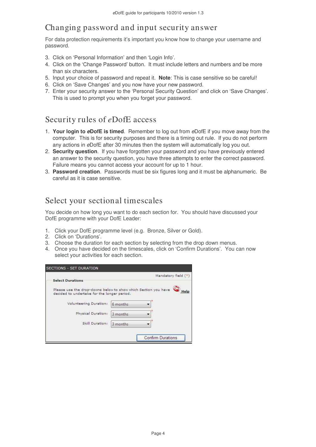# Changing password and input security answer

For data protection requirements it's important you know how to change your username and password.

- 3. Click on 'Personal Information' and then 'Login Info'.
- 4. Click on the 'Change Password' button. It must include letters and numbers and be more than six characters.
- 5. Input your choice of password and repeat it. **Note**: This is case sensitive so be careful!
- 6. Click on 'Save Changes' and you now have your new password.
- 7. Enter your security answer to the 'Personal Security Question' and click on 'Save Changes'. This is used to prompt you when you forget your password.

### Security rules of *e*DofE access

- 1. **Your login to eDofE is timed**. Remember to log out from eDofE if you move away from the computer. This is for security purposes and there is a timing out rule. If you do not perform any actions in eDofE after 30 minutes then the system will automatically log you out.
- 2. **Security question**. If you have forgotten your password and you have previously entered an answer to the security question, you have three attempts to enter the correct password. Failure means you cannot access your account for up to 1 hour.
- 3. **Password creation**. Passwords must be six figures long and it must be alphanumeric. Be careful as it is case sensitive.

### Select your sectional timescales

You decide on how long you want to do each section for. You should have discussed your DofE programme with your DofE Leader:

- 1. Click your DofE programme level (e.g. Bronze, Silver or Gold).
- 2. Click on 'Durations'.
- 3. Choose the duration for each section by selecting from the drop down menus.
- 4. Once you have decided on the timescales, click on 'Confirm Durations'. You can now select your activities for each section.

|                                             | Mandatory field (*)                                                    |
|---------------------------------------------|------------------------------------------------------------------------|
| <b>Select Durations</b>                     |                                                                        |
| decided to undertake for the longer period. | Please use the drop-downs below to show which Section you have<br>Help |
| Volunteering Duration:                      | 6 months                                                               |
|                                             | 3 months                                                               |
| Physical Duration:                          |                                                                        |
|                                             |                                                                        |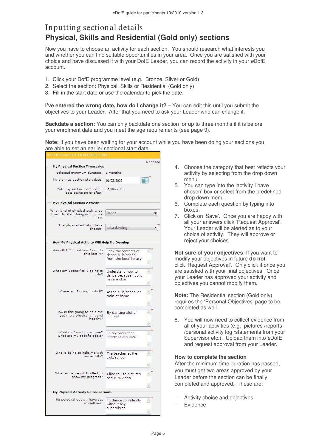### Inputting sectional details **Physical, Skills and Residential (Gold only) sections**

Now you have to choose an activity for each section. You should research what interests you and whether you can find suitable opportunities in your area. Once you are satisfied with your choice and have discussed it with your DofE Leader, you can record the activity in your eDofE account.

- 1. Click your DofE programme level (e.g. Bronze, Silver or Gold)
- 2. Select the section: Physical, Skills or Residential (Gold only)
- 3. Fill in the start date or use the calendar to pick the date.

**I've entered the wrong date, how do I change it?** – You can edit this until you submit the objectives to your Leader. After that you need to ask your Leader who can change it.

**Backdate a section:** You can only backdate one section for up to three months if it is before your enrolment date and you meet the age requirements (see page 9).

**Note:** If you have been waiting for your account while you have been doing your sections you are able to set an earlier sectional start date.

|                                                                              |                                                                     | Mandato  |
|------------------------------------------------------------------------------|---------------------------------------------------------------------|----------|
| <b>My Physical Section Timescales</b>                                        |                                                                     |          |
| Selected minimum duration:                                                   | 3 months                                                            |          |
| My planned section start date:                                               | 01/03/2009                                                          | HIL      |
| With my earliest completion<br>date being on or after:                       | 01/06/2009                                                          |          |
| <b>My Physical Section Activity</b>                                          |                                                                     |          |
| What kind of physical activity do<br>I want to start doing or improve<br>at? | Dance                                                               |          |
| The physical activity I have<br>chosen:                                      | salsa dancing                                                       |          |
| How My Physical Activity Will Help Me Develop                                |                                                                     |          |
| How will I find out how I can do<br>this locally?                            | Look for contacts at<br>dance club/school<br>from the local library | ×<br>Ń.  |
|                                                                              |                                                                     |          |
| What am I specifically going to<br>do?                                       | Understand how to<br>dance because i dont<br>have a clue.           | $\wedge$ |
|                                                                              |                                                                     | Ń.       |
| Where am I going to do it?                                                   | At the club/school or<br>train at home                              | ×.       |
|                                                                              |                                                                     | ×        |
| How is this going to help me<br>get more physically fit and<br>healthy?      | By dancing alot of<br>course!                                       | ×        |
|                                                                              |                                                                     | Q,       |
| What do I want to achieve?<br>What are my specific goals?                    | To try and reach<br>intermediate level                              | $\sim$   |
|                                                                              |                                                                     | $\vee$   |
| Who is going to help me with<br>my activity?                                 | The teacher at the<br>club/school                                   | $\sim$   |
|                                                                              |                                                                     | Ń.       |
| What evidence will I collect to<br>show my progress?                         | I like to use pictures<br>and MP4 video                             | ×        |
|                                                                              |                                                                     |          |
| <b>My Physical Activity Personal Goals</b>                                   |                                                                     |          |
| The personal goals I have set<br>myself are:                                 | To dance confidently<br>without any<br>supervision                  | ×        |
|                                                                              |                                                                     |          |

- 4. Choose the category that best reflects your activity by selecting from the drop down menu.
- 5. You can type into the 'activity I have chosen' box or select from the predefined drop down menu.
- 6. Complete each question by typing into boxes.
- 7. Click on 'Save'. Once you are happy with all your answers click 'Request Approval'. Your Leader will be alerted as to your choice of activity. They will approve or reject your choices.

**Not sure of your objectives**: If you want to modify your objectives in future **do not** click 'Request Approval'. Only click it once you are satisfied with your final objectives. Once your Leader has approved your activity and objectives you cannot modify them.

**Note:** The Residential section (Gold only) requires the 'Personal Objectives' page to be completed as well.

8. You will now need to collect evidence from all of your activities (e.g. pictures /reports /personal activity log /statements from your Supervisor etc.). Upload them into eDofE and request approval from your Leader.

#### **How to complete the section**

After the minimum time duration has passed, you must get two areas approved by your Leader before the section can be finally completed and approved. These are:

- − Activity choice and objectives
- Evidence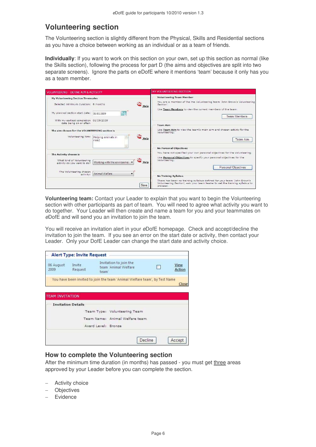### **Volunteering section**

The Volunteering section is slightly different from the Physical, Skills and Residential sections as you have a choice between working as an individual or as a team of friends.

**Individually**: If you want to work on this section on your own, set up this section as normal (like the Skills section), following the process for part D (the aims and objectives are split into two separate screens). Ignore the parts on eDofE where it mentions 'team' because it only has you as a team member.

| VOLUNTEERING - DEFINE AIM & ACTIVITY                                      |                                |      | MY VOLUNTEERING SECTION                                                                                                                                            |
|---------------------------------------------------------------------------|--------------------------------|------|--------------------------------------------------------------------------------------------------------------------------------------------------------------------|
| My Volunteering Section Timescales<br>Selected minimum duration: 6 months |                                | Help | <b>Volunteering Team Member</b><br>You are a member of the the Volunteering team 'John Brown's Volunteering<br>Section'.                                           |
| My planned section start date:                                            | <b>AND</b><br>01/03/2009       |      | Use Team Members to view the current members of the team.<br><b>Team Members</b>                                                                                   |
| With my earliest completion 01/09/2009<br>date being on or after:         |                                |      | <b>Team Aim</b>                                                                                                                                                    |
| The aim chosen for the VOLUNTEERING section is                            |                                |      | Use Team Aim to view the team's main aim and chosen activity for the<br>Volunteering.                                                                              |
| Volunteering Aim:                                                         | Helping animals in<br>need     | Help | Team Aim                                                                                                                                                           |
|                                                                           |                                |      | <b>No Personal Objectives</b>                                                                                                                                      |
| The Activity chosen is                                                    |                                |      | You have not specified your own personal objectives for the Volunteering.                                                                                          |
| What kind of Volunteering<br>activity do you want to do?                  | Working with the environmer    | Help | Use Personal Objectives to specify your personal objectives for the<br>Volunteering,<br>Personal Objectives                                                        |
| The Volunteering chosen<br>activity:                                      | Animal Welfare<br>$\checkmark$ |      | <b>No Training Syllabus</b>                                                                                                                                        |
|                                                                           |                                | Save | There has been no training syllabus defined for your team 'John Brown's<br>Volunteering Section', ask your team leader to set the training syllabus to<br>proceed. |

**Volunteering team:** Contact your Leader to explain that you want to begin the Volunteering section with other participants as part of team. You will need to agree what activity you want to do together. Your Leader will then create and name a team for you and your teammates on eDofE and will send you an invitation to join the team.

You will receive an invitation alert in your eDofE homepage. Check and accept/decline the invitation to join the team. If you see an error on the start date or activity, then contact your Leader. Only your DofE Leader can change the start date and activity choice.

| 06 August<br>2009      | Invite<br>Request         | Invitation to join the<br>team 'Animal Welfare<br>team'                    | <b>View</b><br>Action |
|------------------------|---------------------------|----------------------------------------------------------------------------|-----------------------|
|                        |                           | You have been invited to join the team 'Animal Welfare team', by Test Name | Close                 |
|                        |                           |                                                                            |                       |
|                        |                           |                                                                            |                       |
|                        | <b>Invitation Details</b> |                                                                            |                       |
|                        |                           | Team Type: Volunteering Team                                               |                       |
| <b>TEAM INVITATION</b> |                           | Team Name: Animal Welfare team                                             |                       |

#### **How to complete the Volunteering section**

After the minimum time duration (in months) has passed - you must get three areas approved by your Leader before you can complete the section.

- − Activity choice
- − Objectives
- − Evidence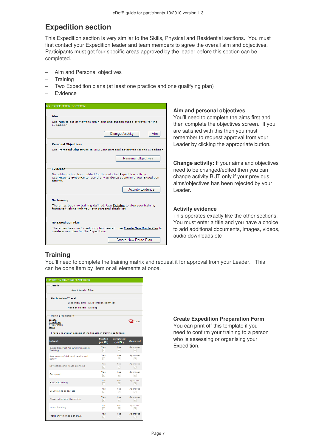### **Expedition section**

This Expedition section is very similar to the Skills, Physical and Residential sections. You must first contact your Expedition leader and team members to agree the overall aim and objectives. Participants must get four specific areas approved by the leader before this section can be completed.

- Aim and Personal objectives
- − Training
- Two Expedition plans (at least one practice and one qualifying plan)
- Evidence

| MY EXPEDITION SECTION                                                                                                                                                                                                                                                                                                        |                                                                                                                                                                                                                                                           |
|------------------------------------------------------------------------------------------------------------------------------------------------------------------------------------------------------------------------------------------------------------------------------------------------------------------------------|-----------------------------------------------------------------------------------------------------------------------------------------------------------------------------------------------------------------------------------------------------------|
| Aim<br>Use Aim to set or view the main aim and chosen mode of travel for the<br>Expedition.<br>Aim<br><b>Change Activity</b><br><b>Personal Objectives</b><br>Use Personal Objectives to view your personal objectives for the Expedition.                                                                                   | Aim and personal objectives<br>You'll need to complete the aims first and<br>then complete the objectives screen. If you<br>are satisfied with this then you must<br>remember to request approval from your<br>Leader by clicking the appropriate button. |
| Personal Objectives<br><b>Evidence</b><br>No evidence has been added for the selected Expedition activity.<br>Use Activity Evidence to record any evidence supporting your Expedition<br>activity.<br><b>Activity Evidence</b>                                                                                               | <b>Change activity:</b> If your aims and objectives<br>need to be changed/edited then you can<br>change activity BUT only if your previous<br>aims/objectives has been rejected by your<br>Leader.                                                        |
| <b>No Training</b><br>There has been no training defined. Use Training to view your training<br>framework along with your own personal check-list.<br><b>No Expedition Plan</b><br>There has been no Expedition plan created, use Create New Route Plan to<br>create a new plan for the Expedition.<br>Create New Route Plan | <b>Activity evidence</b><br>This operates exactly like the other sections.<br>You must enter a title and you have a choice<br>to add additional documents, images, videos,<br>audio downloads etc.                                                        |

#### **Training**

You'll need to complete the training matrix and request it for approval from your Leader. This can be done item by item or all elements at once.

| <b>EXPEDITION TRAINING FRAMEWORK</b>                                    |                                 |                                    |                                      |
|-------------------------------------------------------------------------|---------------------------------|------------------------------------|--------------------------------------|
| <b>Details</b>                                                          |                                 |                                    |                                      |
| Award Level: Silver                                                     |                                 |                                    |                                      |
| <b>Aim &amp; Mode of Travel</b>                                         |                                 |                                    |                                      |
| Expedition aim: Walk through Dartmoor                                   |                                 |                                    |                                      |
| Mode of Travel: Walking                                                 |                                 |                                    |                                      |
| <b>Training Framework</b>                                               |                                 |                                    |                                      |
| <b>Create</b><br><b>Expedition</b><br><b>Preparation</b><br><b>Form</b> |                                 |                                    | Help                                 |
| I have undertaken aspects of the Expedition training as follows:        |                                 |                                    |                                      |
| <b>Subject</b>                                                          | <b>Started</b><br>$(A  \nabla)$ | <b>Completed</b><br>$(A   \nabla)$ | <b>Approved</b>                      |
| <b>Expedition First Aid and Emergency</b><br>Training                   | Yes<br>M                        | Yes<br>M                           | Approved<br>M                        |
| Awareness of risk and health and<br>safety                              | Yes<br>ا⊽                       | Yes<br>☞                           | Approved<br>u                        |
| Navigation and Route planning                                           | Yes<br>☞                        | Yes<br>▿                           | Approved<br>$\checkmark$             |
| Campcraft                                                               | Yes<br>M                        | Yes<br>M                           | Approved<br>M                        |
| Food & Cooking                                                          | Yes<br>$\overline{\vee}$        | Yes<br>M                           | Approved<br>M                        |
| Countryside codes etc                                                   | Yes<br>▿                        | Yes<br>V                           | Approved<br>v                        |
| Observation and Recording                                               | Yes<br>M                        | Yes<br>⊡                           | Approved<br>v                        |
| <b>Team building</b>                                                    | Yes<br>M                        | Yes<br>$\vee$                      | Approved<br>$\overline{\phantom{a}}$ |
| Proficiency in mode of travel                                           | Yes<br>M                        | Yes<br>M                           | Approved<br>u                        |

**Create Expedition Preparation Form** 

You can print off this template if you need to confirm your training to a person who is assessing or organising your Expedition.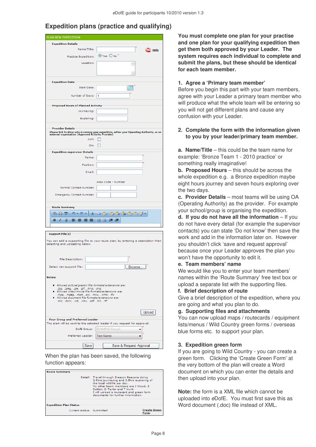### **Expedition plans (practice and qualifying)**

| PLAN NEW EXPEDITION                                                                        |                                                                                                                                                  |
|--------------------------------------------------------------------------------------------|--------------------------------------------------------------------------------------------------------------------------------------------------|
| <b>Expedition Details</b>                                                                  |                                                                                                                                                  |
| Name/Title:                                                                                |                                                                                                                                                  |
|                                                                                            | $\bigcirc$ Help                                                                                                                                  |
| Practice Expedition:                                                                       | $\odot$ Yes $\bigcirc$ No                                                                                                                        |
| Location:                                                                                  | A                                                                                                                                                |
|                                                                                            |                                                                                                                                                  |
|                                                                                            | $\sim$                                                                                                                                           |
| <b>Expedition Date</b>                                                                     |                                                                                                                                                  |
| Start Date:                                                                                | <b>MARK</b>                                                                                                                                      |
|                                                                                            |                                                                                                                                                  |
| Number of Days:                                                                            | 1                                                                                                                                                |
| <b>Proposed Hours of Planned Activity</b>                                                  |                                                                                                                                                  |
| Journeying:                                                                                |                                                                                                                                                  |
|                                                                                            |                                                                                                                                                  |
| Exploring:                                                                                 |                                                                                                                                                  |
| <b>Provider Details</b>                                                                    |                                                                                                                                                  |
|                                                                                            | Please tick to show who is running your expedition, either your Operating Authority, or an<br>external organization (Approved Activity Provider) |
| AAP:                                                                                       | ш                                                                                                                                                |
| OA:                                                                                        | П                                                                                                                                                |
|                                                                                            |                                                                                                                                                  |
| <b>Expedition supervisor Details</b><br>Name:                                              |                                                                                                                                                  |
|                                                                                            |                                                                                                                                                  |
| Position:                                                                                  |                                                                                                                                                  |
| Email:                                                                                     |                                                                                                                                                  |
|                                                                                            |                                                                                                                                                  |
|                                                                                            | Area Code - Number                                                                                                                               |
| Normal Contact Number:                                                                     |                                                                                                                                                  |
| <b>Emergency Contact Number:</b>                                                           |                                                                                                                                                  |
|                                                                                            |                                                                                                                                                  |
| <b>Route Summary</b>                                                                       |                                                                                                                                                  |
| ABG.<br>$\mathbf{p}$<br>¥<br>沿 白                                                           | <b>48696687</b>                                                                                                                                  |
| в<br>U.<br>Ι<br>∍<br>≡<br>草<br>▤                                                           | ŧΞ<br>钟 讲<br>ŝ≡                                                                                                                                  |
|                                                                                            |                                                                                                                                                  |
|                                                                                            |                                                                                                                                                  |
| Support File(s)                                                                            |                                                                                                                                                  |
|                                                                                            | You can add a supporting file to your route plan, by entering a description then                                                                 |
| selecting and uploading below.                                                             |                                                                                                                                                  |
|                                                                                            |                                                                                                                                                  |
| File Description:                                                                          |                                                                                                                                                  |
|                                                                                            |                                                                                                                                                  |
| Select new support file:                                                                   | Browse                                                                                                                                           |
|                                                                                            |                                                                                                                                                  |
| Notes:                                                                                     |                                                                                                                                                  |
| Allowed picture/graphic file formats/extensions are:                                       |                                                                                                                                                  |
| .jpg, .jpeg, .jpe, .gif, .bmp, .png<br>Allowed video/movie file formats/extensions are:    |                                                                                                                                                  |
| .mpg, .mpeg, .mp4, .avi, .mov, .wmv, .flv<br>Allowed document file formats/extensions are: |                                                                                                                                                  |
| .doc, .docx, .xls, .xlsx, .pdf, .txt, .rtf                                                 |                                                                                                                                                  |
|                                                                                            |                                                                                                                                                  |
|                                                                                            | Upload                                                                                                                                           |
| Your Group and Preferred Leader                                                            |                                                                                                                                                  |
|                                                                                            | The alert will be sent to the selected leader if you request for approval.                                                                       |
| DofE Group:                                                                                | <b>EXAMPLE Group1</b><br>$\overline{\phantom{a}}$                                                                                                |
| Preferred Leader:                                                                          | Test Name                                                                                                                                        |
|                                                                                            |                                                                                                                                                  |
| Save                                                                                       | Save & Request Approval                                                                                                                          |

When the plan has been saved, the following function appears:

| <b>Route Summary</b>          | Detail: Travel through Breacon Beacons doing<br>3.5hrs journeying and 3.5hrs exploring of<br>the local wildlife per day.                              |                             |
|-------------------------------|-------------------------------------------------------------------------------------------------------------------------------------------------------|-----------------------------|
|                               | My other team members are J Wood, S<br>Dutton, D Taylor and T Hunt.<br>I will upload a routecard and green form<br>documents for further information. |                             |
| <b>Expedition Plan Status</b> |                                                                                                                                                       |                             |
| Current status: Submitted     |                                                                                                                                                       | <b>Create Green</b><br>Form |

**You must complete one plan for your practise and one plan for your qualifying expedition then get them both approved by your Leader. The system requires each individual to complete and submit the plans, but these should be identical for each team member.** 

#### **1. Agree a 'Primary team member'**

Before you begin this part with your team members, agree with your Leader a primary team member who will produce what the whole team will be entering so you will not get different plans and cause any confusion with your Leader.

#### **2. Complete the form with the information given to you by your leader/primary team member.**

**a. Name/Title** – this could be the team name for example: 'Bronze Team 1 - 2010 practice' or something really imaginative!

**b. Proposed Hours** – this should be across the whole expedition e.g. a Bronze expedition maybe eight hours journey and seven hours exploring over the two days.

**c. Provider Details** – most teams will be using OA (Operating Authority) as the provider. For example your school/group is organising the expedition.

**d. If you do not have all the information** – If you do not have every detail (for example the supervisor contacts) you can state 'Do not know' then save the work and add in the information later on. However you shouldn't click 'save and request approval' because once your Leader approves the plan you won't have the opportunity to edit it.

#### **e. Team members' name**

We would like you to enter your team members' names within the 'Route Summary' free text box or upload a separate list with the supporting files.

#### **f. Brief description of route**

Give a brief description of the expedition, where you are going and what you plan to do.

#### **g. Supporting files and attachments**

You can now upload maps / routecards / equipment lists/menus / Wild Country green forms / overseas blue forms etc. to support your plan.

#### **3. Expedition green form**

If you are going to Wild Country - you can create a green form. Clicking the 'Create Green Form' at the very bottom of the plan will create a Word document on which you can enter the details and then upload into your plan.

**Note:** the form is a XML file which cannot be uploaded into eDofE. You must first save this as Word document (.doc) file instead of XML.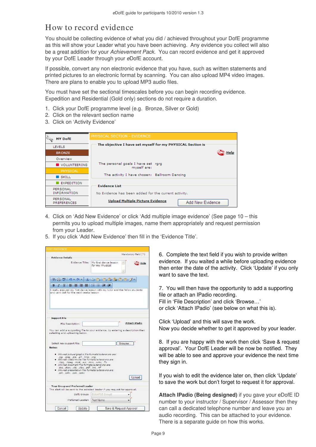### How to record evidence

You should be collecting evidence of what you did / achieved throughout your DofE programme as this will show your Leader what you have been achieving. Any evidence you collect will also be a great addition for your Achievement Pack. You can record evidence and get it approved by your DofE Leader through your eDofE account.

If possible, convert any non electronic evidence that you have, such as written statements and printed pictures to an electronic format by scanning. You can also upload MP4 video images. There are plans to enable you to upload MP3 audio files.

You must have set the sectional timescales before you can begin recording evidence. Expedition and Residential (Gold only) sections do not require a duration.

- 1. Click your DofE programme level (e.g. Bronze, Silver or Gold)
- 2. Click on the relevant section name
- 3. Click on 'Activity Evidence'

| <b>MY DofE</b>                        | PHYSICAL SECTION - EVIDENCE                                 |
|---------------------------------------|-------------------------------------------------------------|
| <b>LEVELS</b>                         | The objective I have set myself for my PHYSICAL Section is  |
| <b>BRONZE</b>                         | Help                                                        |
| Overview                              |                                                             |
| VOLUNTEERING                          | The personal goals I have set rgrg<br>myself are:           |
| PHYSICAL                              |                                                             |
| $\blacksquare$ SKILL                  | The activity I have chosen: Ballroom Dancing                |
| <b>EXPEDITION</b>                     | <b>Evidence List</b>                                        |
| <b>PERSONAL</b><br><b>INFORMATION</b> | No Evidence has been added for the current activity.        |
| PERSONAL<br><b>PREFERENCES</b>        | <b>Upload Multiple Picture Evidence</b><br>Add New Evidence |

- 4. Click on 'Add New Evidence' or click 'Add multiple image evidence' (See page 10 this permits you to upload multiple images, name them appropriately and request permission from your Leader.
- 5. If you click 'Add New Evidence' then fill in the 'Evidence Title'.

| <b>Evidence Details</b>                                                                                                                                                                                                                                                                                                                                                       |                                                                                                 |
|-------------------------------------------------------------------------------------------------------------------------------------------------------------------------------------------------------------------------------------------------------------------------------------------------------------------------------------------------------------------------------|-------------------------------------------------------------------------------------------------|
| Evidence Title:                                                                                                                                                                                                                                                                                                                                                               | My first dance lesson<br>Help<br>for my Physical                                                |
| 489<br>$H \rightarrow$<br>$17 - 14 - 1$                                                                                                                                                                                                                                                                                                                                       | $\mathcal{V}$ to a la c $\mathcal{O}$ .                                                         |
| B<br>U<br>Ι                                                                                                                                                                                                                                                                                                                                                                   | 挂<br>Æ<br>課 課                                                                                   |
|                                                                                                                                                                                                                                                                                                                                                                               |                                                                                                 |
| <b>Support File</b>                                                                                                                                                                                                                                                                                                                                                           |                                                                                                 |
|                                                                                                                                                                                                                                                                                                                                                                               |                                                                                                 |
| File Description:<br>selecting and uploading below.                                                                                                                                                                                                                                                                                                                           | Attach iPadio<br>You can add a supporting file to your evidence, by entering a description then |
| Select new support file:                                                                                                                                                                                                                                                                                                                                                      | Browse                                                                                          |
| Notes:                                                                                                                                                                                                                                                                                                                                                                        |                                                                                                 |
| · Allowed picture/graphic file formats/extensions are:<br>.jpg, .jpeg, .jpe, .gif, .bmp, .png<br>· Allowed video/movie file formats/extensions are:<br>.mpg. .mpeg. .mp4, .avi, .mov, .wmv, .flv<br>· Allowed document file formats/extensions are:<br>doc, docx, xls, xlsx, pdf, txt, rtf<br>· Allowed presentation file formats/extensions are:<br>.ppt, .pptx, .pps, .ppsx | Upload                                                                                          |
| Your Group and Preferred Leader                                                                                                                                                                                                                                                                                                                                               | The alert will be sent to the selected leader if you request for approval.                      |
| DofE Group:                                                                                                                                                                                                                                                                                                                                                                   | <b>EXAMPLE Group1</b>                                                                           |

6. Complete the text field if you wish to provide written evidence. If you waited a while before uploading evidence then enter the date of the activity. Click 'Update' if you only want to save the text.

7. You will then have the opportunity to add a supporting file or attach an IPadio recording. Fill in 'File Description' and click 'Browse…' or click 'Attach IPadio' (see below on what this is).

Click 'Upload' and this will save the work. Now you decide whether to get it approved by your leader.

8. If you are happy with the work then click 'Save & request approval'. Your DofE Leader will be now be notified. They will be able to see and approve your evidence the next time they sign in.

If you wish to edit the evidence later on, then click 'Update' to save the work but don't forget to request it for approval.

**Attach IPadio (Being designed)** if you gave your eDofE ID number to your instructor / Supervisor / Assessor then they can call a dedicated telephone number and leave you an audio recording. This can be attached to your evidence. There is a separate guide on how this works.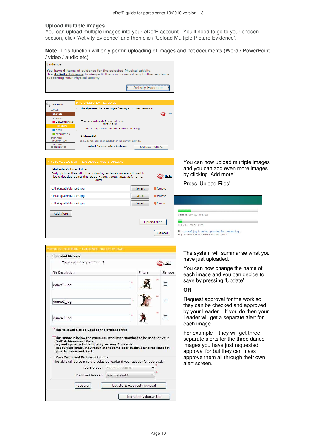#### **Upload multiple images**

You can upload multiple images into your eDofE account. You'll need to go to your chosen section, click 'Activity Evidence' and then click 'Upload Multiple Picture Evidence'.

**Note:** This function will only permit uploading of images and not documents (Word / PowerPoint / video / audio etc)

| <b>Evidence</b>                                                                                                                                                                     |                                                            |                   |
|-------------------------------------------------------------------------------------------------------------------------------------------------------------------------------------|------------------------------------------------------------|-------------------|
| You have 6 items of evidence for the selected Physical activity.<br>Use Activity Evidence to view/edit them or to record any further evidence<br>supporting your Physical activity. |                                                            |                   |
|                                                                                                                                                                                     |                                                            | Activity Evidence |
|                                                                                                                                                                                     |                                                            |                   |
| <b>MY DofE</b>                                                                                                                                                                      | PHYSICAL SECTION - EVIDENCE                                |                   |
| <b>LEVELS</b>                                                                                                                                                                       | The objective I have set myself for my PHYSICAL Section is |                   |
| <b>BRONZE</b>                                                                                                                                                                       |                                                            | Help              |
| Overview                                                                                                                                                                            |                                                            |                   |
| VOLUNTEER ING                                                                                                                                                                       | The personal goals I have set rorg<br>myself are:          |                   |
| PHYSICAL                                                                                                                                                                            |                                                            |                   |
| <b>SKILL</b>                                                                                                                                                                        | The activity I have chosen: Ballroom Dancing               |                   |
| <b>EXPEDITION</b>                                                                                                                                                                   | <b>Evidence List</b>                                       |                   |
| PERSONAL<br><b>INFORMATION</b>                                                                                                                                                      | No Evidence has been added for the current activity.       |                   |
| PERSONAL<br><b>PREFERENCES</b>                                                                                                                                                      | <b>Upload Multiple Picture Evidence</b>                    | Add New Evidence  |

| PHYSICAL SECTION - EVIDENCE MULTI-UPLOAD                                                                                                                           |               |                |
|--------------------------------------------------------------------------------------------------------------------------------------------------------------------|---------------|----------------|
| Multiple Picture Upload<br>Only picture files with the following extensions are allowed to<br>be uploaded using this page - .jpg, .jpeg, .jpe, .gif, .bmp,<br>.png |               | <b>Help</b>    |
| C:\fakepath\dance1.jpg                                                                                                                                             | <b>Select</b> | <b>XRemove</b> |
| C:\fakepath\dance2.jpg                                                                                                                                             | Select        | <b>XRemove</b> |
| C:\fakepath\dance3.jpg                                                                                                                                             | Select        | <b>XRemove</b> |
| Add More                                                                                                                                                           |               |                |
|                                                                                                                                                                    |               | Upload files   |
|                                                                                                                                                                    |               | Cancel         |

You can now upload multiple images and you can add even more images by clicking 'Add more'

Press 'Upload Files'

| Uploaded 16% (16) Total 100                       |  |  |
|---------------------------------------------------|--|--|
|                                                   |  |  |
| Uploading 5% (5) of 100                           |  |  |
| File: dance1.jpg is being uploaded for processing |  |  |

| Total uploaded pictures: 3                                                                                                                                                                                                                                                                          |                       |         | Help   |
|-----------------------------------------------------------------------------------------------------------------------------------------------------------------------------------------------------------------------------------------------------------------------------------------------------|-----------------------|---------|--------|
| File Description                                                                                                                                                                                                                                                                                    |                       | Picture | Remove |
| dance1 jpg                                                                                                                                                                                                                                                                                          |                       |         | **     |
| dance2 jpg                                                                                                                                                                                                                                                                                          |                       |         |        |
| dance3_jpg                                                                                                                                                                                                                                                                                          |                       |         | 次次     |
| * This text will also be used as the evidence title.                                                                                                                                                                                                                                                |                       |         |        |
| This image is below the minimum resolution standard to be used for your<br>Doff Achievement Pack.<br>Try and upload a higher quality version if possible.<br>The current image may result in the same poor quality being replicated in<br>vour Achievement Pack.<br>Your Group and Preferred Leader |                       |         |        |
| The alert will be sent to the selected leader if you request for approval.<br>DofE Group:                                                                                                                                                                                                           | <b>EXAMPLE Group1</b> |         |        |
| Preferred Leader:                                                                                                                                                                                                                                                                                   | fake namemk4          |         |        |

#### The system will summarise what you have just uploaded.

You can now change the name of each image and you can decide to save by pressing 'Update'.

#### **OR**

Request approval for the work so they can be checked and approved by your Leader. If you do then your Leader will get a separate alert for each image.

For example – they will get three separate alerts for the three dance images you have just requested approval for but they can mass approve them all through their own alert screen.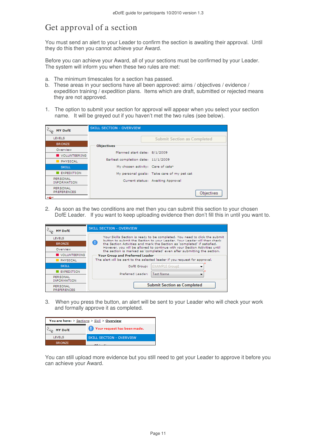### Get approval of a section

You must send an alert to your Leader to confirm the section is awaiting their approval. Until they do this then you cannot achieve your Award.

Before you can achieve your Award, all of your sections must be confirmed by your Leader. The system will inform you when these two rules are met:

- a. The minimum timescales for a section has passed.
- b. These areas in your sections have all been approved: aims / objectives / evidence / expedition training / expedition plans. Items which are draft, submitted or rejected means they are not approved.
- 1. The option to submit your section for approval will appear when you select your section name. It will be greyed out if you haven't met the two rules (see below).

| <b>MY DofE</b>                 | <b>SKILL SECTION - OVERVIEW</b>               |                                            |
|--------------------------------|-----------------------------------------------|--------------------------------------------|
| <b>LEVELS</b>                  |                                               | <b>Submit Section as Completed</b>         |
| <b>BRONZE</b>                  | <b>Objectives</b>                             |                                            |
| Overview                       | Planned start date: 8/1/2009                  |                                            |
| VOLUNTEERING                   |                                               |                                            |
| <b>PHYSICAL</b>                | Earliest completion date: 11/1/2009           |                                            |
| <b>SKILL</b>                   | My chosen activity: Care of cats <sup>1</sup> |                                            |
| <b>EXPEDITION</b>              |                                               | My personal goals: Take care of my pet cat |
| PERSONAL<br><b>INFORMATION</b> |                                               | Current status: Awaiting Approval          |
| PERSONAL<br><b>PREFERENCES</b> |                                               | <b>Objectives</b>                          |
| WAN                            |                                               |                                            |

2. As soon as the two conditions are met then you can submit this section to your chosen DofE Leader. If you want to keep uploading evidence then don't fill this in until you want to.

| <b>MY DofE</b>                 | <b>SKILL SECTION - OVERVIEW</b>                                                                                                                                                           |  |  |  |
|--------------------------------|-------------------------------------------------------------------------------------------------------------------------------------------------------------------------------------------|--|--|--|
| <b>LEVELS</b>                  | Your Skills Section is ready to be completed. You need to click the submit                                                                                                                |  |  |  |
| <b>BRONZE</b>                  | button to submit the Section to your Leader. Your Leader will then check<br>O<br>the Section Activities and mark the Section as 'completed' if satisfied.                                 |  |  |  |
| Overview                       | However, you will be allowed to continue with your Section Activities until<br>the section is marked as 'completed' even after submitting the section.<br>Your Group and Preferred Leader |  |  |  |
| VOLUNTEERING                   |                                                                                                                                                                                           |  |  |  |
| <b>PHYSICAL</b>                | The alert will be sent to the selected leader if you request for approval.                                                                                                                |  |  |  |
| <b>SKILL</b>                   | <b>EXAMPLE Group1</b><br>DofE Group:                                                                                                                                                      |  |  |  |
| <b>EXPEDITION</b>              | <b>Test Name</b><br>Preferred Leader:                                                                                                                                                     |  |  |  |
| PERSONAL<br><b>INFORMATION</b> |                                                                                                                                                                                           |  |  |  |
| PERSONAL<br><b>PREFERENCES</b> | <b>Submit Section as Completed</b>                                                                                                                                                        |  |  |  |

3. When you press the button, an alert will be sent to your Leader who will check your work and formally approve it as completed.

| You are here: > Sections > Skill > Overview |                                 |
|---------------------------------------------|---------------------------------|
| <b>MY DofE</b>                              | Your request has been made.     |
| <b>LEVELS</b>                               | <b>SKILL SECTION - OVERVIEW</b> |
| <b>BRONZE</b>                               |                                 |

You can still upload more evidence but you still need to get your Leader to approve it before you can achieve your Award.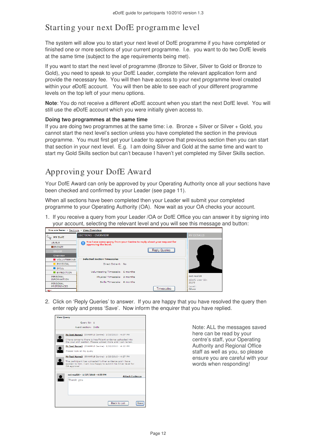# Starting your next DofE programme level

The system will allow you to start your next level of DofE programme if you have completed or finished one or more sections of your current programme. I.e. you want to do two DofE levels at the same time (subject to the age requirements being met).

If you want to start the next level of programme (Bronze to Silver, Silver to Gold or Bronze to Gold), you need to speak to your DofE Leader, complete the relevant application form and provide the necessary fee. You will then have access to your next programme level created within your eDofE account. You will then be able to see each of your different programme levels on the top left of your menu options.

**Note**: You do not receive a different eDofE account when you start the next DofE level. You will still use the eDofE account which you were initially given access to.

#### **Doing two programmes at the same time**

If you are doing two programmes at the same time: i.e. Bronze + Silver or Silver + Gold, you cannot start the next level's section unless you have completed the section in the previous programme. You must first get your Leader to approve that previous section then you can start that section in your next level. E.g. I am doing Silver and Gold at the same time and want to start my Gold Skills section but can't because I haven't yet completed my Silver Skills section.

# Approving your DofE Award

Your DofE Award can only be approved by your Operating Authority once all your sections have been checked and confirmed by your Leader (see page 11).

When all sections have been completed then your Leader will submit your completed programme to your Operating Authority (OA). Now wait as your OA checks your account.

1. If you receive a query from your Leader /OA or DofE Office you can answer it by signing into your account, selecting the relevant level and you will see this message and button:



2. Click on 'Reply Queries' to answer. If you are happy that you have resolved the query then enter reply and press 'Save'. Now inform the enquirer that you have replied.



Note: ALL the messages saved here can be read by your centre's staff, your Operating Authority and Regional Office staff as well as you, so please ensure you are careful with your words when responding!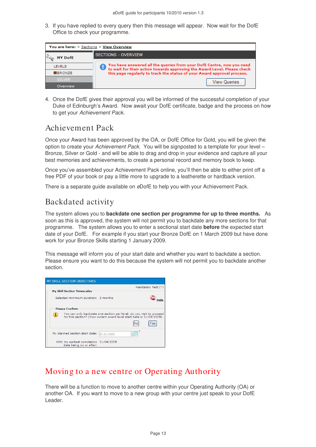3. If you have replied to every query then this message will appear. Now wait for the DofE Office to check your programme.

| You are here: > Sections > View Overview |                                                                                                                                                   |  |
|------------------------------------------|---------------------------------------------------------------------------------------------------------------------------------------------------|--|
| <b>MY DofE</b>                           | <b>SECTIONS - OVERVIEW</b>                                                                                                                        |  |
|                                          |                                                                                                                                                   |  |
| <b>LEVELS</b>                            | You have answered all the queries from your DofE Centre, now you need<br>to wait for their action towards approving the Award Level. Please check |  |
| BRONZE                                   | this page regularly to track the status of your Award approval process.                                                                           |  |
| <b>SILVER</b>                            | View Queries                                                                                                                                      |  |
| Overview                                 |                                                                                                                                                   |  |

4. Once the DofE gives their approval you will be informed of the successful completion of your Duke of Edinburgh's Award. Now await your DofE certificate, badge and the process on how to get your Achievement Pack.

### Achievement Pack

Once your Award has been approved by the OA, or DofE Office for Gold, you will be given the option to create your Achievement Pack. You will be signposted to a template for your level – Bronze, Silver or Gold - and will be able to drag and drop in your evidence and capture all your best memories and achievements, to create a personal record and memory book to keep.

Once you've assembled your Achievement Pack online, you'll then be able to either print off a free PDF of your book or pay a little more to upgrade to a leatherette or hardback version.

There is a separate guide available on eDofE to help you with your Achievement Pack.

### Backdated activity

The system allows you to **backdate one section per programme for up to three months.** As soon as this is approved, the system will not permit you to backdate any more sections for that programme. The system allows you to enter a sectional start date **before** the expected start date of your DofE. For example if you start your Bronze DofE on 1 March 2009 but have done work for your Bronze Skills starting 1 January 2009.

This message will inform you of your start date and whether you want to backdate a section. Please ensure you want to do this because the system will not permit you to backdate another section.



### Moving to a new centre or Operating Authority

There will be a function to move to another centre within your Operating Authority (OA) or another OA. If you want to move to a new group with your centre just speak to your DofE Leader.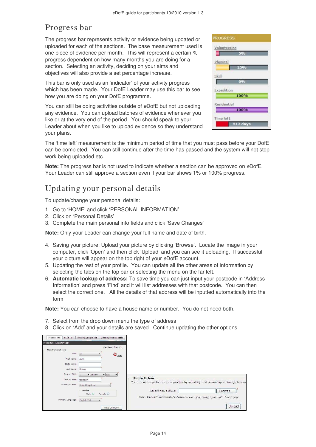# Progress bar

The progress bar represents activity or evidence being updated or uploaded for each of the sections. The base measurement used is one piece of evidence per month. This will represent a certain % progress dependent on how many months you are doing for a section. Selecting an activity, deciding on your aims and objectives will also provide a set percentage increase.

This bar is only used as an 'indicator' of your activity progress which has been made. Your DofE Leader may use this bar to see how you are doing on your DofE programme.

You can still be doing activities outside of eDofE but not uploading any evidence. You can upload batches of evidence whenever you like or at the very end of the period. You should speak to your Leader about when you like to upload evidence so they understand your plans.

| <b>PROGRESS</b> |
|-----------------|
| Volunteering    |
| 5%              |
| Physical        |
| 25%             |
| <b>Skill</b>    |
| 0%              |
| Expedition      |
| 100%            |
| Residential     |
| 100%            |
| Time left       |
| 512 days        |

The 'time left' measurement is the minimum period of time that you must pass before your DofE can be completed. You can still continue after the time has passed and the system will not stop work being uploaded etc.

**Note:** The progress bar is not used to indicate whether a section can be approved on eDofE. Your Leader can still approve a section even if your bar shows 1% or 100% progress.

### Updating your personal details

To update/change your personal details:

- 1. Go to 'HOME' and click 'PERSONAL INFORMATION'
- 2. Click on 'Personal Details'
- 3. Complete the main personal info fields and click 'Save Changes'

**Note:** Only your Leader can change your full name and date of birth.

- 4. Saving your picture: Upload your picture by clicking 'Browse'. Locate the image in your computer, click 'Open' and then click 'Upload' and you can see it uploading. If successful your picture will appear on the top right of your eDofE account.
- 5. Updating the rest of your profile. You can update all the other areas of information by selecting the tabs on the top bar or selecting the menu on the far left.
- 6. **Automatic lookup of address:** To save time you can just input your postcode in 'Address Information' and press 'Find' and it will list addresses with that postcode. You can then select the correct one. All the details of that address will be inputted automatically into the form

**Note:** You can choose to have a house name or number. You do not need both.

- 7. Select from the drop down menu the type of address
- 8. Click on 'Add' and your details are saved. Continue updating the other options

| PERSONAL INFORMATION |                                                    |                                                                                                             |
|----------------------|----------------------------------------------------|-------------------------------------------------------------------------------------------------------------|
| Main Personal Info   | Mandatory field (*)                                |                                                                                                             |
| Title: Mr            | $\bigotimes_{\text{Help}}$                         |                                                                                                             |
| First Name:          | John                                               |                                                                                                             |
| Middle Name:         |                                                    |                                                                                                             |
| Last Name:           | Brown                                              |                                                                                                             |
| Date of Birth:       | $-1990$<br>$\bullet$ January<br>$\bullet$          |                                                                                                             |
| Town of Birth:       | faketown                                           | <b>Profile Picture</b><br>You can add a picture to your profile, by selecting and uploading an image below. |
| Country of Birth:    | United Kingdom                                     |                                                                                                             |
|                      | Gender<br>Male <sup>(a)</sup><br>Female $\bigcirc$ | Browse<br>Select new picture:                                                                               |
| Primary Language:    | English (EN)<br>$\cdot$                            | Note: Allowed file formats/extensions are: .jpg, .jpeg, .jpe, .gif, .bmp, .png                              |
|                      | Save Changes                                       | Upload                                                                                                      |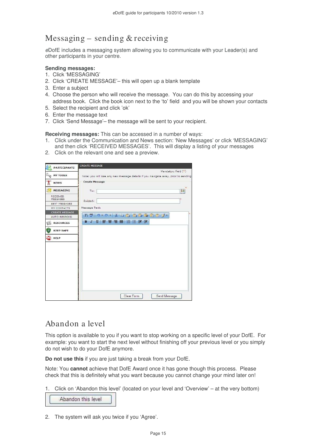# Messaging – sending & receiving

eDofE includes a messaging system allowing you to communicate with your Leader(s) and other participants in your centre.

#### **Sending messages:**

- 1. Click 'MESSAGING'
- 2. Click 'CREATE MESSAGE'– this will open up a blank template
- 3. Enter a subject
- 4. Choose the person who will receive the message. You can do this by accessing your address book. Click the book icon next to the 'to' field and you will be shown your contacts
- 5. Select the recipient and click 'ok'
- 6. Enter the message text
- 7. Click 'Send Message'– the message will be sent to your recipient.

**Receiving messages:** This can be accessed in a number of ways:

- 1. Click under the Communication and News section: 'New Messages' or click 'MESSAGING' and then click 'RECEIVED MESSAGES'. This will display a listing of your messages
- 2. Click on the relevant one and see a preview.



### Abandon a level

This option is available to you if you want to stop working on a specific level of your DofE. For example: you want to start the next level without finishing off your previous level or you simply do not wish to do your DofE anymore.

**Do not use this** if you are just taking a break from your DofE.

Note: You **cannot** achieve that DofE Award once it has gone though this process. Please check that this is definitely what you want because you cannot change your mind later on!

1. Click on 'Abandon this level' (located on your level and 'Overview' – at the very bottom)

Abandon this level

2. The system will ask you twice if you 'Agree'.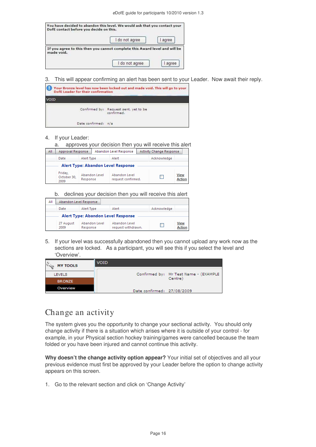|            | I do not agree                                                             | I agree |
|------------|----------------------------------------------------------------------------|---------|
|            |                                                                            |         |
| made void. | If you agree to this then you cannot complete this Award level and will be |         |

3. This will appear confirming an alert has been sent to your Leader. Now await their reply.

| Your Bronze level has now been locked out and made void. This will go to your<br>Doff Leader for their confirmation |                                                     |  |
|---------------------------------------------------------------------------------------------------------------------|-----------------------------------------------------|--|
| VOID                                                                                                                |                                                     |  |
|                                                                                                                     | Confirmed by: Request sent, yet to be<br>confirmed. |  |
| Date confirmed: n/a                                                                                                 |                                                     |  |

#### 4. If your Leader:

| approves your decision then you will receive this alert<br>a. |            |               |                                     |  |                                 |                       |
|---------------------------------------------------------------|------------|---------------|-------------------------------------|--|---------------------------------|-----------------------|
| <b>Approval Response</b><br>All                               |            |               | Abandon Level Response              |  | <b>Activity Change Response</b> |                       |
| Date                                                          | Alert Type |               | Alert                               |  | Acknowledge                     |                       |
| Alert Type: Abandon Level Response                            |            |               |                                     |  |                                 |                       |
| Friday,<br>October 30.<br>2009                                | Response   | Abandon Level | Abandon Level<br>request confirmed. |  |                                 | View<br><b>Action</b> |

b. declines your decision then you will receive this alert

| ΑII |                   | Abandon Level Response             |                                     |             |                              |
|-----|-------------------|------------------------------------|-------------------------------------|-------------|------------------------------|
|     | Date              | Alert Type                         | Alert                               | Acknowledge |                              |
|     |                   | Alert Type: Abandon Level Response |                                     |             |                              |
|     | 27 August<br>2009 | Abandon Level<br>Response          | Abandon Level<br>request withdrawn. |             | <b>View</b><br><b>Action</b> |

5. If your level was successfully abandoned then you cannot upload any work now as the sections are locked. As a participant, you will see this if you select the level and 'Overview'.

| <b>MY TOOLS</b> | <b>VOID</b>                |                                       |
|-----------------|----------------------------|---------------------------------------|
|                 |                            |                                       |
| <b>LEVELS</b>   |                            | Confirmed by: Mr Test Name - (EXAMPLE |
| <b>BRONZE</b>   |                            | Centre)                               |
| Overview        | Date confirmed: 27/08/2009 |                                       |

### Change an activity

The system gives you the opportunity to change your sectional activity. You should only change activity if there is a situation which arises where it is outside of your control - for example, in your Physical section hockey training/games were cancelled because the team folded or you have been injured and cannot continue this activity.

**Why doesn't the change activity option appear?** Your initial set of objectives and all your previous evidence must first be approved by your Leader before the option to change activity appears on this screen.

1. Go to the relevant section and click on 'Change Activity'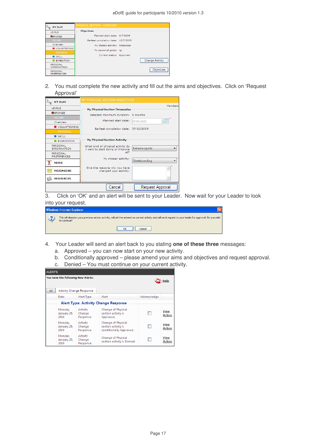| <b>MY DofE</b>                        | PHYSICAL SECTION - OVERVIEW         |  |                        |  |  |
|---------------------------------------|-------------------------------------|--|------------------------|--|--|
|                                       |                                     |  |                        |  |  |
| <b>LEVELS</b>                         | <b>Objectives</b>                   |  |                        |  |  |
| <b>BRONZE</b>                         | Planned start date: 4/7/2009        |  |                        |  |  |
| <b>SILVER</b>                         | Earliest completion date: 10/7/2009 |  |                        |  |  |
| Overview                              | My chosen activity: Motocross       |  |                        |  |  |
| VOLUNTEERING                          | My personal goals: rgr              |  |                        |  |  |
| PHYSICAL                              |                                     |  |                        |  |  |
| <b>SKILL</b>                          | Current status: Approved            |  |                        |  |  |
| <b>EXPEDITION</b>                     |                                     |  | <b>Change Activity</b> |  |  |
| <b>PERSONAL</b><br><b>INFORMATION</b> |                                     |  |                        |  |  |
| <b>PERSONAL</b><br><b>PREFERENCES</b> |                                     |  | Objectives             |  |  |

2. You must complete the new activity and fill out the aims and objectives. Click on 'Request Approval'

| MY DofE                        | MY PHYSICAL SECTION OBJECTIVES                                        |                           |
|--------------------------------|-----------------------------------------------------------------------|---------------------------|
| LEVELS                         | <b>My Physical Section Timescales</b>                                 | Mandato                   |
| BRONZE                         | Selected minimum duration:                                            | 6 months                  |
| <b>SILVER</b>                  |                                                                       |                           |
| Overview                       | Planned start date:                                                   | <b>HILL</b><br>07/04/2009 |
| VOLUNTEERING                   | Earliest completion date: 07/10/2009                                  |                           |
| PHYSICAL                       |                                                                       |                           |
| <b>SKILL</b>                   |                                                                       |                           |
| <b>EXPEDITION</b>              | <b>My Physical Section Activity</b>                                   |                           |
| PERSONAL<br><b>INFORMATION</b> | What kind of physical activity do<br>I want to start doing or improve | <b>Extreme sports</b>     |
| PERSONAL<br>PREFERENCES        | at?                                                                   |                           |
| MON<br><b>NEWS</b><br>A        | My chosen activity:                                                   | Skateboarding             |
| MESSAGING                      | Give the reasons why you have<br>changed your activity:               |                           |
| <b>RESOURCES</b>               |                                                                       |                           |
|                                | Cancel                                                                | Request Approval          |

3. Click on 'OK' and an alert will be sent to your Leader. Now wait for your Leader to look into your request.



- 4. Your Leader will send an alert back to you stating **one of these three** messages:
	- a. Approved you can now start on your new activity.
	- b. Conditionally approved please amend your aims and objectives and request approval.
	- c. Denied You must continue on your current activity.

| <b>ALERTS</b>                      |                                             |                                 |                                                                      |             |                              |  |
|------------------------------------|---------------------------------------------|---------------------------------|----------------------------------------------------------------------|-------------|------------------------------|--|
| You have the following New Alerts: |                                             |                                 |                                                                      |             | Help                         |  |
| All                                |                                             | <b>Activity Change Response</b> |                                                                      |             |                              |  |
|                                    | Date                                        | Alert Type                      | Alert                                                                | Acknowledge |                              |  |
|                                    | <b>Alert Type: Activity Change Response</b> |                                 |                                                                      |             |                              |  |
|                                    | Monday,<br>January 25,<br>2010              | Activity<br>Change<br>Response  | Change of Physical<br>section activity is<br>Approved.               |             | <b>View</b><br><b>Action</b> |  |
|                                    | Monday,<br>January 25,<br>2010              | Activity<br>Change<br>Response  | Change of Physical<br>section activity is<br>conditionally Approved. |             | <b>View</b><br><b>Action</b> |  |
|                                    | Monday.<br>January 25,<br>2010              | Activity<br>Change<br>Response  | Change of Physical<br>section activity is Denied.                    |             | <b>View</b><br><b>Action</b> |  |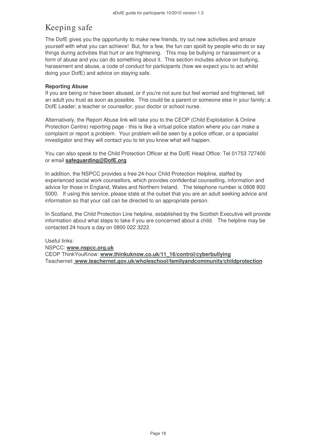# Keeping safe

The DofE gives you the opportunity to make new friends, try out new activities and amaze yourself with what you can achieve! But, for a few, the fun can spoilt by people who do or say things during activities that hurt or are frightening. This may be bullying or harassment or a form of abuse and you can do something about it. This section includes advice on bullying, harassment and abuse, a code of conduct for participants (how we expect you to act whilst doing your DofE) and advice on staying safe.

#### **Reporting Abuse**

If you are being or have been abused, or if you're not sure but feel worried and frightened, tell an adult you trust as soon as possible. This could be a parent or someone else in your family; a DofE Leader; a teacher or counsellor; your doctor or school nurse.

Alternatively, the Report Abuse link will take you to the CEOP (Child Exploitation & Online Protection Centre) reporting page - this is like a virtual police station where you can make a complaint or report a problem. Your problem will be seen by a police officer, or a specialist investigator and they will contact you to let you know what will happen.

You can also speak to the Child Protection Officer at the DofE Head Office: Tel 01753 727400 or email **safeguarding@DofE.org**

In addition, the NSPCC provides a free 24-hour Child Protection Helpline, staffed by experienced social work counsellors, which provides confidential counselling, information and advice for those in England, Wales and Northern Ireland. The telephone number is 0808 800 5000. If using this service, please state at the outset that you are an adult seeking advice and information so that your call can be directed to an appropriate person.

In Scotland, the Child Protection Line helpline, established by the Scottish Executive will provide information about what steps to take if you are concerned about a child. The helpline may be contacted 24 hours a day on 0800 022 3222.

Useful links: NSPCC: **www.nspcc.org.uk** CEOP ThinkYouKnow: **www.thinkuknow.co.uk/11\_16/control/cyberbullying** Teachernet: **www.teachernet.gov.uk/wholeschool/familyandcommunity/childprotection**